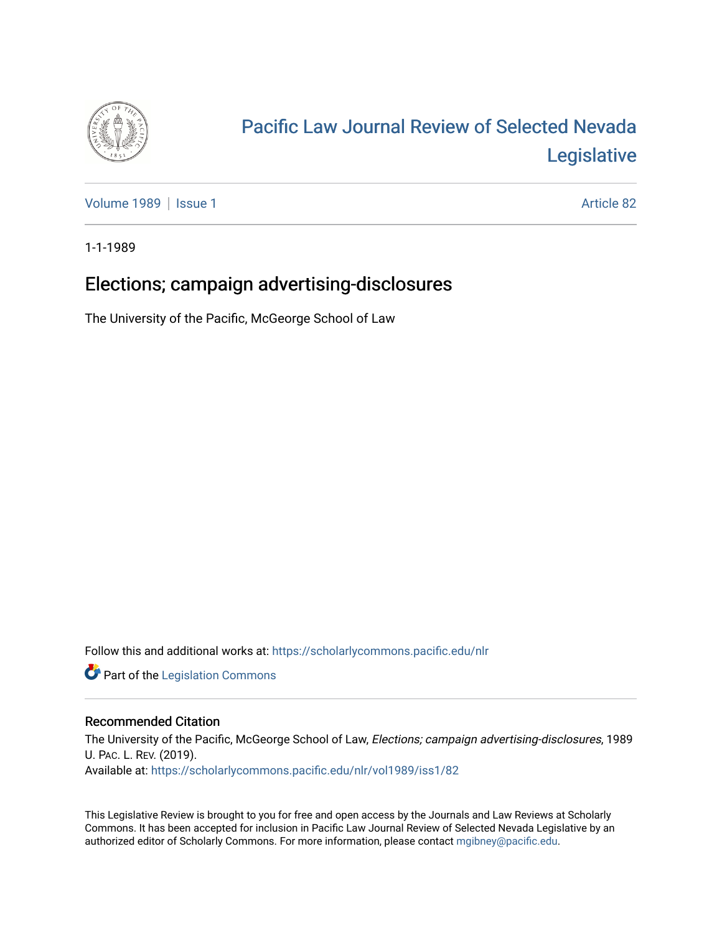

# [Pacific Law Journal Review of Selected Nevada](https://scholarlycommons.pacific.edu/nlr)  [Legislative](https://scholarlycommons.pacific.edu/nlr)

[Volume 1989](https://scholarlycommons.pacific.edu/nlr/vol1989) | [Issue 1](https://scholarlycommons.pacific.edu/nlr/vol1989/iss1) Article 82

1-1-1989

## Elections; campaign advertising-disclosures

The University of the Pacific, McGeorge School of Law

Follow this and additional works at: [https://scholarlycommons.pacific.edu/nlr](https://scholarlycommons.pacific.edu/nlr?utm_source=scholarlycommons.pacific.edu%2Fnlr%2Fvol1989%2Fiss1%2F82&utm_medium=PDF&utm_campaign=PDFCoverPages) 

**Part of the [Legislation Commons](http://network.bepress.com/hgg/discipline/859?utm_source=scholarlycommons.pacific.edu%2Fnlr%2Fvol1989%2Fiss1%2F82&utm_medium=PDF&utm_campaign=PDFCoverPages)** 

### Recommended Citation

The University of the Pacific, McGeorge School of Law, Elections; campaign advertising-disclosures, 1989 U. PAC. L. REV. (2019). Available at: [https://scholarlycommons.pacific.edu/nlr/vol1989/iss1/82](https://scholarlycommons.pacific.edu/nlr/vol1989/iss1/82?utm_source=scholarlycommons.pacific.edu%2Fnlr%2Fvol1989%2Fiss1%2F82&utm_medium=PDF&utm_campaign=PDFCoverPages)

This Legislative Review is brought to you for free and open access by the Journals and Law Reviews at Scholarly Commons. It has been accepted for inclusion in Pacific Law Journal Review of Selected Nevada Legislative by an authorized editor of Scholarly Commons. For more information, please contact [mgibney@pacific.edu](mailto:mgibney@pacific.edu).